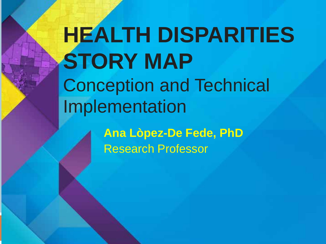# **HEALTH DISPARITIES STORY MAP** Conception and Technical Implementation

**Ana Lòpez-De Fede, PhD** Research Professor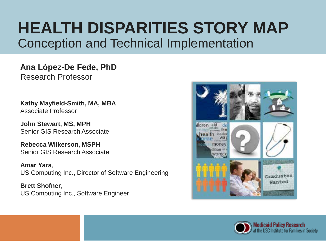# **HEALTH DISPARITIES STORY MAP** Conception and Technical Implementation

**Ana Lòpez-De Fede, PhD** Research Professor

**Kathy Mayfield-Smith, MA, MBA** Associate Professor

**John Stewart, MS, MPH** Senior GIS Research Associate

**Rebecca Wilkerson, MSPH** Senior GIS Research Associate

**Amar Yara**, US Computing Inc., Director of Software Engineering

**Brett Shofner**, US Computing Inc., Software Engineer



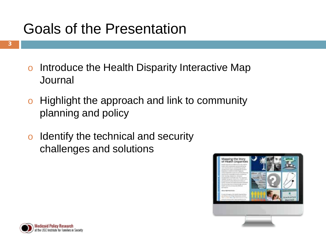# Goals of the Presentation

- o Introduce the Health Disparity Interactive Map Journal
- o Highlight the approach and link to community planning and policy
- o Identify the technical and security challenges and solutions



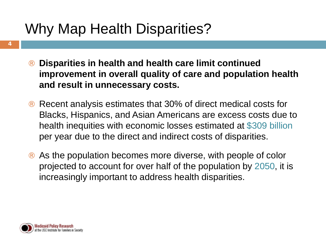# Why Map Health Disparities?

- **Disparities in health and health care limit continued improvement in overall quality of care and population health and result in unnecessary costs.**
- Recent analysis estimates that 30% of direct medical costs for Blacks, Hispanics, and Asian Americans are excess costs due to health inequities with economic losses estimated at \$309 billion per year due to the direct and indirect costs of disparities.
- As the population becomes more diverse, with people of color projected to account for over half of the population by 2050, it is increasingly important to address health disparities.

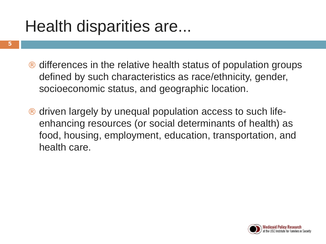# Health disparities are...

**5**

- differences in the relative health status of population groups defined by such characteristics as race/ethnicity, gender, socioeconomic status, and geographic location.
- driven largely by unequal population access to such lifeenhancing resources (or social determinants of health) as food, housing, employment, education, transportation, and health care.

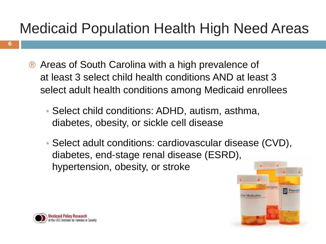# Medicaid Population Health High Need Areas

- Areas of South Carolina with a high prevalence of at least 3 select child health conditions AND at least 3 select adult health conditions among Medicaid enrollees
	- Select child conditions: ADHD, autism, asthma, diabetes, obesity, or sickle cell disease
	- Select adult conditions: cardiovascular disease (CVD), diabetes, end-stage renal disease (ESRD), hypertension, obesity, or stroke





**6**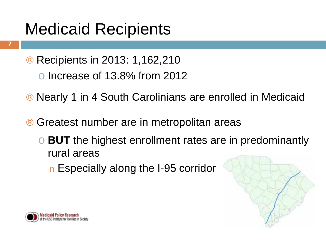# Medicaid Recipients

- ¨ Recipients in 2013: 1,162,210 o Increase of 13.8% from 2012
- Nearly 1 in 4 South Carolinians are enrolled in Medicaid
- Greatest number are in metropolitan areas
	- **BUT** the highest enrollment rates are in predominantly rural areas
		- **n** Especially along the I-95 corridor





**7**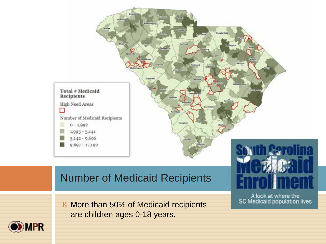

### Number of Medicaid Recipients

§ More than 50% of Medicaid recipients are children ages 0-18 years.

A look at where the SC Medicaid population lives

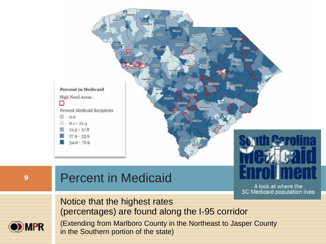

A look at where the SC Medicaid population lives

Notice that the highest rates (percentages) are found along the I-95 corridor



(Extending from Marlboro County in the Northeast to Jasper County in the Southern portion of the state)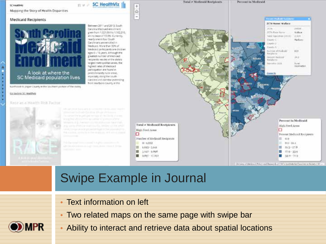#### SC HealthAt

Mapping the Story of Health Disparities

#### **Medicald Recipients**



Between 2011 and 2013, South Carolina Medicald elinoliment gravin from 1.021.864 to 1.162.218. an increase of 15.8%. Currently, nearly prie in four South Carolinians are enrolled in Medicaid. More than 50% of Medicald participants are children. ages 0 x 18 years. Attnough the greatest number of Medicad recipients needed ut the states. argest metropolitan areas, the highest rates of Medicald an'tiquetion are found in predominantly ruits/ areas, Hipeculty along the south Carolina Mill corridor (extending from Maribons County at the

SC HealthViz

官室子

Nartheast to Jesper County in the Southern portion of the states

#### Gia back to SC Healthyta

#### Rare as a Health Rick Factor



converte togett personal its hollest of ever Modernill Estamability 604 Moscow Saury at UKIR, Elympicat a Bigg percentage or the Columbia Cities



### Swipe Example in Journal

- Text information on left
- Two related maps on the same page with swipe bar
- Ability to interact and retrieve data about spatial locations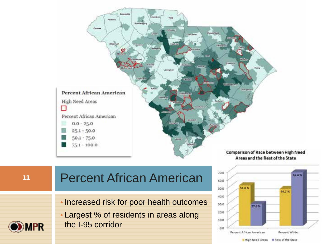

# **<sup>11</sup>** Percent African American

• Increased risk for poor health outcomes

• Largest % of residents in areas along the I-95 corridor



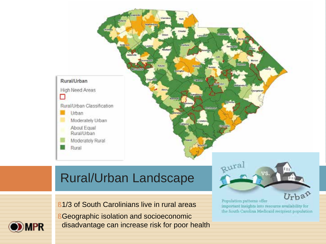

### Rural/Urban Landscape

§ 1/3 of South Carolinians live in rural areas



§ Geographic isolation and socioeconomic disadvantage can increase risk for poor health

Urban Population patterns offer important insights into resource availability for the South Carolina Medicald recipient population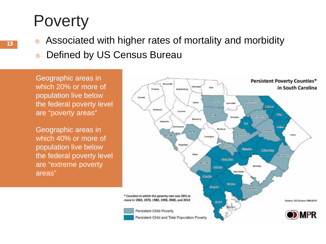# **Poverty**

- Associated with higher rates of mortality and morbidity
- ¨ Defined by US Census Bureau

Geographic areas in which 20% or more of population live below the federal poverty level are "poverty areas"

Geographic areas in which 40% or more of population live below the federal poverty level are "extreme poverty areas"

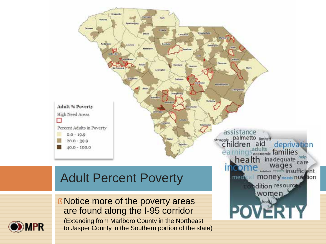

dition resource

women loog

**POVERTY** 

### Adult Percent Poverty



§ Notice more of the poverty areas are found along the I-95 corridor (Extending from Marlboro County in the Northeast

to Jasper County in the Southern portion of the state)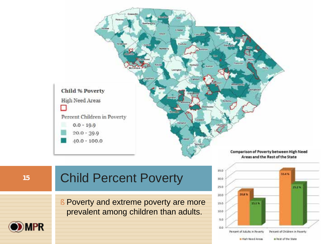

Areas and the Rest of the State

35.0 50.0 25.0 20.8% 20.0  $15.0$ prevalent among children than adults. 10.0 5.0  $0.0$ 



### **15** Child Percent Poverty

§ Poverty and extreme poverty are more

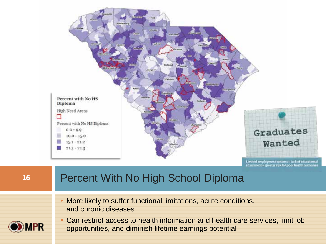

attainment = greater risk for poor he

16 Percent With No High School Diploma • More likely to suffer functional limitations, acute conditions, and chronic diseases • Can restrict access to health information and health care services, limit job IPR opportunities, and diminish lifetime earnings potential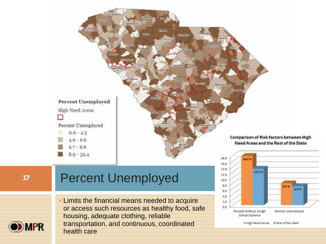

 $140$ 

 $12.0$  $100$ 8.0

> 60  $40<sup>°</sup>$  $20$ ö.ö

13.3%

Percent Without a High

**School Diploma** 

8.0%

Percent Unemployed

Il High Need Areas III Rest of the State

6.9%

### **<sup>17</sup>** Percent Unemployed



• Limits the financial means needed to acquire or access such resources as healthy food, safe housing, adequate clothing, reliable transportation, and continuous, coordinated health care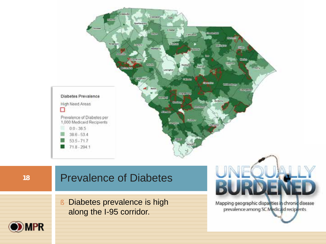

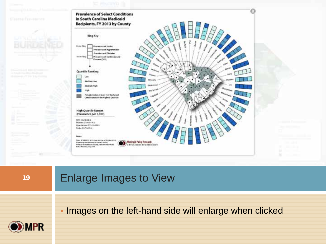

### 19 **Enlarge Images to View**

• Images on the left-hand side will enlarge when clicked

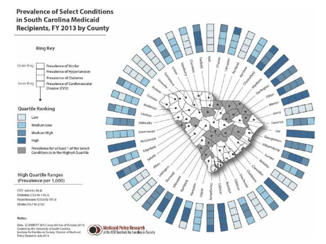### **Prevalence of Select Conditions** in South Carolina Medicaid Recipients, FY 2013 by County



### **Quartile Ranking**



Prevalence for at least 1 of the Select Conditions is in the Highest Quartile

### **High Quartile Ranges** (Prevalence per 1,000)

CVD (46.0 to 58.4) Diabetes (75.0 to 116.1) Hypertension (133.6 to 191.6) Stroke (19.7 to 27.6)

#### Notes:

Data: SC MMS FY 2013 (June 2013 as of October 2013). Croated by the University of South Carolina, Institute for Families in Society, Christon of Madicald Folicy Research, July 2014.

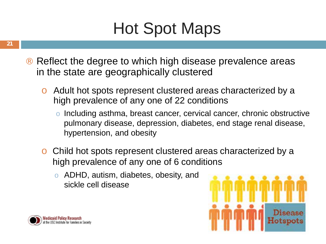# Hot Spot Maps

- Reflect the degree to which high disease prevalence areas in the state are geographically clustered
	- o Adult hot spots represent clustered areas characterized by a high prevalence of any one of 22 conditions
		- Including asthma, breast cancer, cervical cancer, chronic obstructive pulmonary disease, depression, diabetes, end stage renal disease, hypertension, and obesity
	- o Child hot spots represent clustered areas characterized by a high prevalence of any one of 6 conditions
		- o ADHD, autism, diabetes, obesity, and sickle cell disease



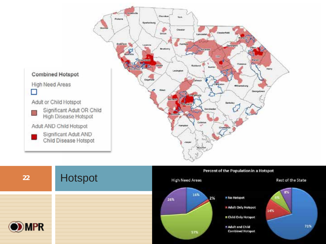

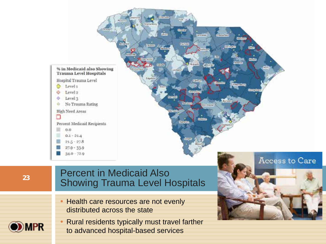

**MPR** 

### Percent in Medicaid Also **Example 1** Showing Trauma Level Hospitals

- Health care resources are not evenly distributed across the state
- Rural residents typically must travel farther to advanced hospital-based services

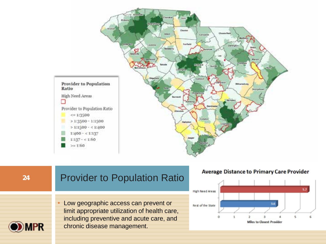



**Average Distance to Primary Care Provider** 

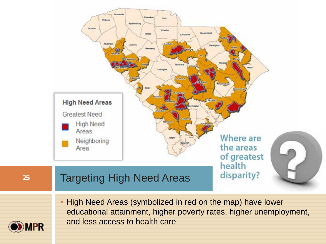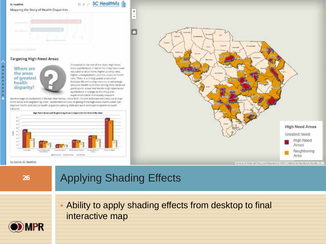





#### Targeting High-Need Areas

Where are the areas of greatest health disparity?

Compared to the rest of the state, High Nevel Areas itymbolized in red on the map) have lower educational attanment, higher poverty rates. higher unemployment, and less access to health care. There is a strong spatial association between the entuming nisource diladvantage. and poor health outcomes among state Medicard particularity. Areal that facciler lings need wited stumbolized in crange on the mass also. implemente critical community resource

SC HealthViz

÷  $\overline{a}$ 

 $22.9$ 

(Brackronings (a) exidenced in the bar chart below) store than 210,000 Medicald enrollees live in High Need Antal and neighboring areas, Health interventions targeting these high-head communities can improve health and reduce health singarities among child and adult Medicald recipients in South. 6.85558



 $3 - 4 - 4$ is enrices *<u>Inventor</u>* High Need Areas Greatest Need High Need Areas Neighboring

Area

Downed Heat an Paint and Research at 1973, middle for Familyo, in Genety 1

#### Go back to SC Healthvia

### **<sup>26</sup>** Applying Shading Effects

• Ability to apply shading effects from desktop to final interactive map

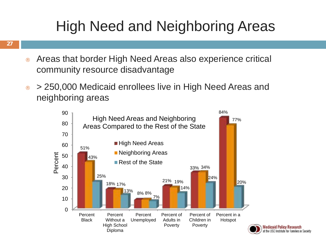# High Need and Neighboring Areas

- Areas that border High Need Areas also experience critical community resource disadvantage
- $\cdot$  > 250,000 Medicaid enrollees live in High Need Areas and neighboring areas



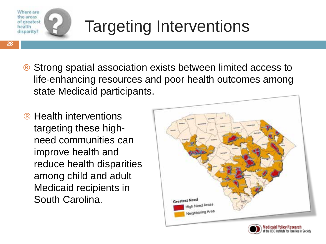

**28**

# Targeting Interventions

- Strong spatial association exists between limited access to life-enhancing resources and poor health outcomes among state Medicaid participants.
- Health interventions targeting these highneed communities can improve health and reduce health disparities among child and adult Medicaid recipients in South Carolina.



Institute for Esmilies in Society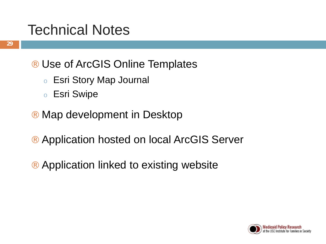# Technical Notes

- **29**
- ¨ Use of ArcGIS Online Templates
	- <sup>o</sup> Esri Story Map Journal
	- <sup>o</sup> Esri Swipe
- ¨ Map development in Desktop
- Application hosted on local ArcGIS Server
- ¨ Application linked to existing website

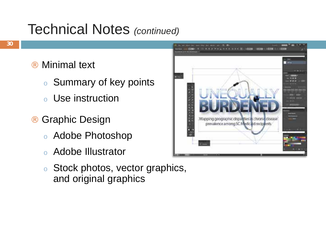### Technical Notes *(continued)*

- Minimal text
	- <sup>o</sup> Summary of key points
	- <sup>o</sup> Use instruction
- Graphic Design
	- <sup>o</sup> Adobe Photoshop
	- <sup>o</sup> Adobe Illustrator
	- <sup>o</sup> Stock photos, vector graphics, and original graphics

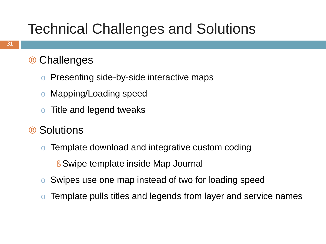# Technical Challenges and Solutions

### **Challenges**

- o Presenting side-by-side interactive maps
- o Mapping/Loading speed
- o Title and legend tweaks
- **Solutions** 
	- Template download and integrative custom coding
		- § Swipe template inside Map Journal
	- o Swipes use one map instead of two for loading speed
	- Template pulls titles and legends from layer and service names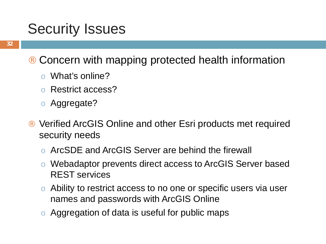### Security Issues

- Concern with mapping protected health information
	- o What's online?
	- o Restrict access?
	- o Aggregate?
- ¨ Verified ArcGIS Online and other Esri products met required security needs
	- o ArcSDE and ArcGIS Server are behind the firewall
	- o Webadaptor prevents direct access to ArcGIS Server based REST services
	- o Ability to restrict access to no one or specific users via user names and passwords with ArcGIS Online
	- o Aggregation of data is useful for public maps